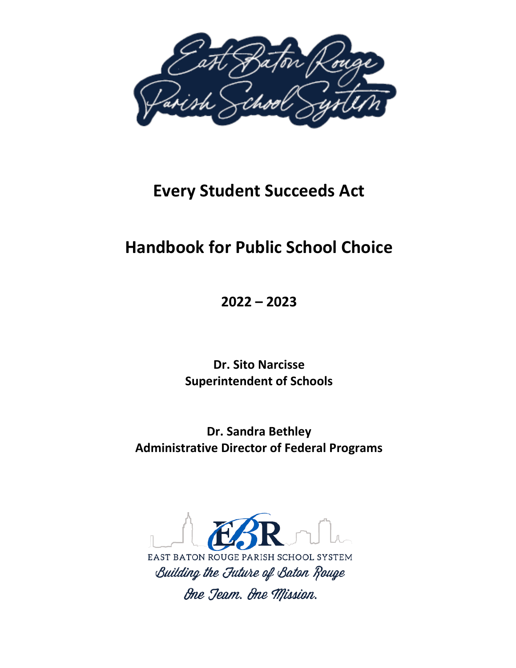

# **Every Student Succeeds Act**

# **Handbook for Public School Choice**

**2022 – 2023**

**Dr. Sito Narcisse Superintendent of Schools**

**Dr. Sandra Bethley Administrative Director of Federal Programs**

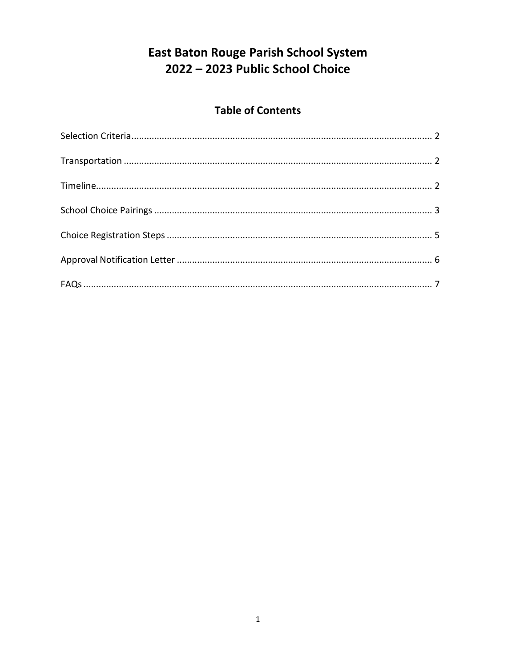# **East Baton Rouge Parish School System** 2022 - 2023 Public School Choice

## **Table of Contents**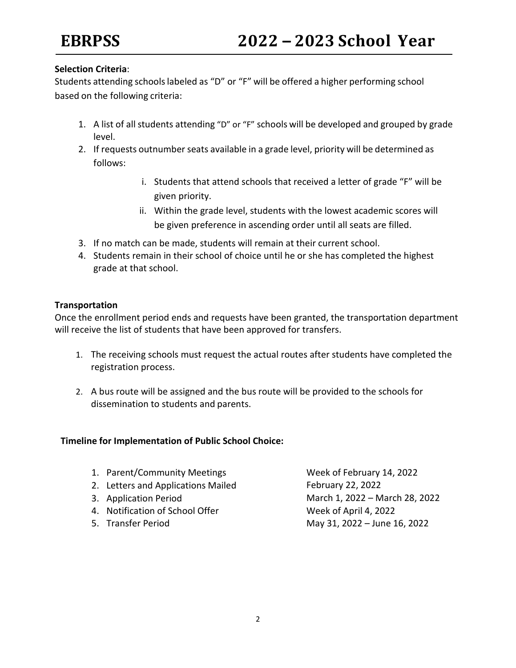### <span id="page-2-0"></span>**Selection Criteria**:

Students attending schoolslabeled as "D" or "F" will be offered a higher performing school based on the following criteria:

- 1. A list of all students attending "D" or "F" schools will be developed and grouped by grade level.
- 2. If requests outnumber seats available in a grade level, priority will be determined as follows:
	- i. Students that attend schools that received a letter of grade "F" will be given priority.
	- ii. Within the grade level, students with the lowest academic scores will be given preference in ascending order until all seats are filled.
- 3. If no match can be made, students will remain at their current school.
- 4. Students remain in their school of choice until he or she has completed the highest grade at that school.

### <span id="page-2-1"></span>**Transportation**

Once the enrollment period ends and requests have been granted, the transportation department will receive the list of students that have been approved for transfers.

- 1. The receiving schools must request the actual routes after students have completed the registration process.
- 2. A bus route will be assigned and the bus route will be provided to the schools for dissemination to students and parents.

### **Timeline for Implementation of Public School Choice:**

| 1. Parent/Community Meetings       | Week of February 14, 2022      |
|------------------------------------|--------------------------------|
| 2. Letters and Applications Mailed | February 22, 2022              |
| 3. Application Period              | March 1, 2022 - March 28, 2022 |
| 4. Notification of School Offer    | Week of April 4, 2022          |
| 5. Transfer Period                 | May 31, 2022 - June 16, 2022   |
|                                    |                                |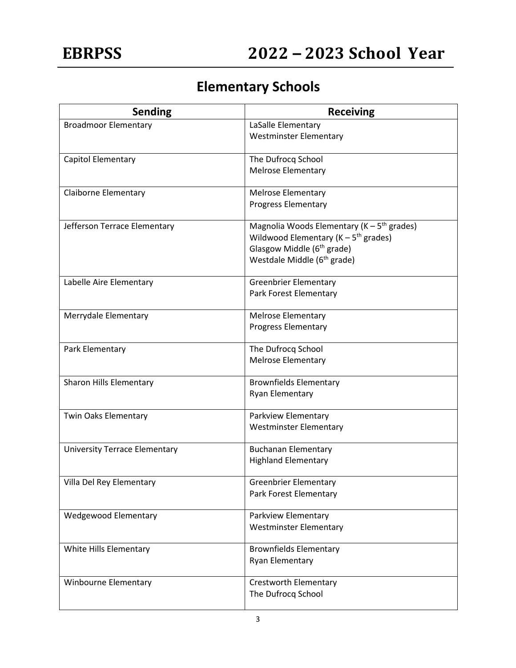# **Elementary Schools**

| <b>Sending</b>                       | <b>Receiving</b>                                    |
|--------------------------------------|-----------------------------------------------------|
| <b>Broadmoor Elementary</b>          | LaSalle Elementary                                  |
|                                      | <b>Westminster Elementary</b>                       |
| Capitol Elementary                   | The Dufrocq School                                  |
|                                      | <b>Melrose Elementary</b>                           |
| <b>Claiborne Elementary</b>          | <b>Melrose Elementary</b>                           |
|                                      | <b>Progress Elementary</b>                          |
| Jefferson Terrace Elementary         | Magnolia Woods Elementary ( $K - 5th$ grades)       |
|                                      | Wildwood Elementary ( $K - 5$ <sup>th</sup> grades) |
|                                      | Glasgow Middle (6 <sup>th</sup> grade)              |
|                                      | Westdale Middle (6 <sup>th</sup> grade)             |
| Labelle Aire Elementary              | <b>Greenbrier Elementary</b>                        |
|                                      | Park Forest Elementary                              |
| Merrydale Elementary                 | <b>Melrose Elementary</b>                           |
|                                      | <b>Progress Elementary</b>                          |
| Park Elementary                      | The Dufrocq School                                  |
|                                      | <b>Melrose Elementary</b>                           |
| Sharon Hills Elementary              | <b>Brownfields Elementary</b>                       |
|                                      | Ryan Elementary                                     |
| Twin Oaks Elementary                 | Parkview Elementary                                 |
|                                      | <b>Westminster Elementary</b>                       |
| <b>University Terrace Elementary</b> | <b>Buchanan Elementary</b>                          |
|                                      | <b>Highland Elementary</b>                          |
| Villa Del Rey Elementary             | <b>Greenbrier Elementary</b>                        |
|                                      | Park Forest Elementary                              |
| <b>Wedgewood Elementary</b>          | Parkview Elementary                                 |
|                                      | <b>Westminster Elementary</b>                       |
| White Hills Elementary               | <b>Brownfields Elementary</b>                       |
|                                      | Ryan Elementary                                     |
| Winbourne Elementary                 | <b>Crestworth Elementary</b>                        |
|                                      | The Dufrocq School                                  |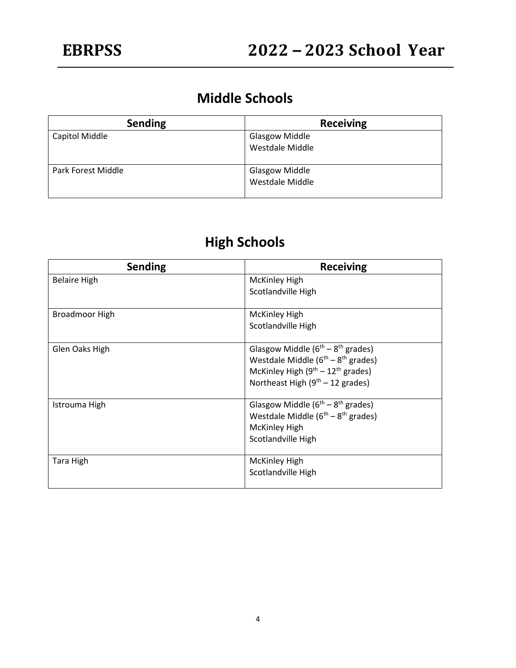# **Middle Schools**

| <b>Sending</b>     | <b>Receiving</b>      |
|--------------------|-----------------------|
| Capitol Middle     | <b>Glasgow Middle</b> |
|                    | Westdale Middle       |
|                    |                       |
| Park Forest Middle | <b>Glasgow Middle</b> |
|                    | Westdale Middle       |
|                    |                       |

# **High Schools**

| <b>Sending</b>        | <b>Receiving</b>                          |
|-----------------------|-------------------------------------------|
| <b>Belaire High</b>   | <b>McKinley High</b>                      |
|                       | Scotlandville High                        |
| <b>Broadmoor High</b> | <b>McKinley High</b>                      |
|                       | Scotlandville High                        |
| Glen Oaks High        | Glasgow Middle $(6^{th} – 8^{th}$ grades) |
|                       | Westdale Middle $(6th - 8th$ grades)      |
|                       | McKinley High $(9^{th} – 12^{th}$ grades) |
|                       | Northeast High $(9th - 12$ grades)        |
| Istrouma High         | Glasgow Middle $(6^{th} – 8^{th}$ grades) |
|                       | Westdale Middle $(6th - 8th$ grades)      |
|                       | <b>McKinley High</b>                      |
|                       | Scotlandville High                        |
| <b>Tara High</b>      | <b>McKinley High</b>                      |
|                       | Scotlandville High                        |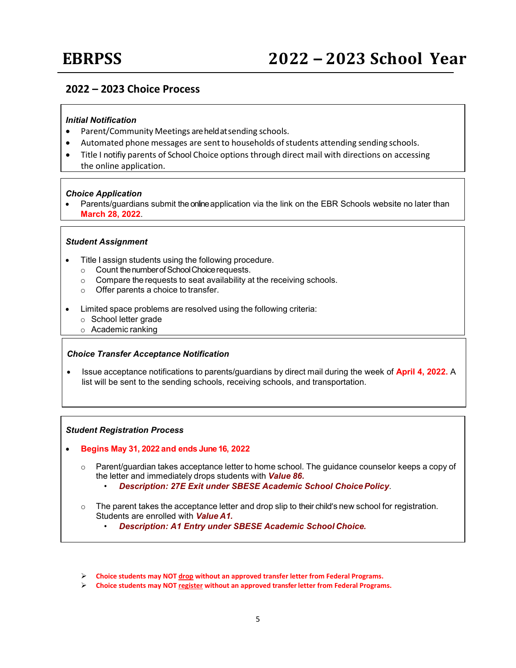### **2022 – 2023 Choice Process**

#### *Initial Notification*

- Parent/Community Meetings areheldatsending schools.
- Automated phone messages are sent to households of students attending sending schools.
- Title I notifiy parents of School Choice options through direct mail with directions on accessing the online application.

#### *Choice Application*

Parents/guardians submit the online application via the link on the EBR Schools website no later than **March 28, 2022**.

#### *Student Assignment*

- Title I assign students using the following procedure.
	- $\circ$  Count the number of School Choice requests.<br> $\circ$  Compare the requests to seat availability a
	- Compare the requests to seat availability at the receiving schools.
	- o Offer parents a choice to transfer.
- Limited space problems are resolved using the following criteria:
	- o School letter grade
	- o Academic ranking

#### *Choice Transfer Acceptance Notification*

• Issue acceptance notifications to parents/guardians by direct mail during the week of **April 4, 2022.** A list will be sent to the sending schools, receiving schools, and transportation.

#### *Student Registration Process*

- **Begins May 31, 2022 and ends June 16, 2022**
	- $\circ$  Parent/guardian takes acceptance letter to home school. The quidance counselor keeps a copy of the letter and immediately drops students with *Value 86.*
		- *Description: 27E Exit under SBESE Academic School ChoicePolicy*.
	- $\circ$  The parent takes the acceptance letter and drop slip to their child's new school for registration. Students are enrolled with *Value A1.*
		- *Description: A1 Entry under SBESE Academic School Choice.*
	- **Choice students may NOT drop without an approved transfer letter from Federal Programs.**
	- **Choice students may NOT register without an approved transfer letter from Federal Programs.**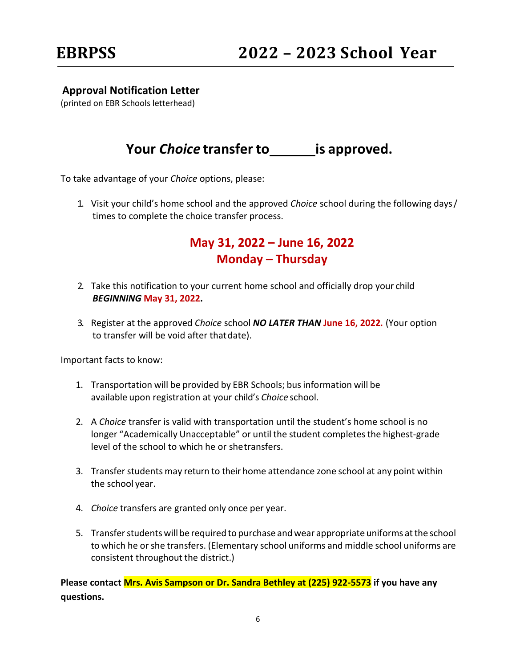## <span id="page-6-0"></span>**Approval Notification Letter**

(printed on EBR Schools letterhead)

## **Your** *Choice* **transfer to is approved.**

To take advantage of your *Choice* options, please:

1. Visit your child's home school and the approved *Choice* school during the following days/ times to complete the choice transfer process.

## **May 31, 2022 – June 16, 2022 Monday – Thursday**

- 2. Take this notification to your current home school and officially drop your child *BEGINNING* **May 31, 2022.**
- 3. Register at the approved *Choice* school *NO LATER THAN* **June 16, 2022***.* (Your option to transfer will be void after thatdate).

Important facts to know:

- 1. Transportation will be provided by EBR Schools; businformation will be available upon registration at your child's *Choice* school.
- 2. A *Choice* transfer is valid with transportation until the student's home school is no longer "Academically Unacceptable" or until the student completes the highest-grade level of the school to which he or shetransfers.
- 3. Transfer students may return to their home attendance zone school at any point within the school year.
- 4. *Choice* transfers are granted only once per year.
- 5. Transfer students will be required to purchase and wear appropriate uniforms at the school to which he or she transfers. (Elementary school uniforms and middle school uniforms are consistent throughout the district.)

**Please contact Mrs. Avis Sampson or Dr. Sandra Bethley at (225) 922-5573 if you have any questions.**